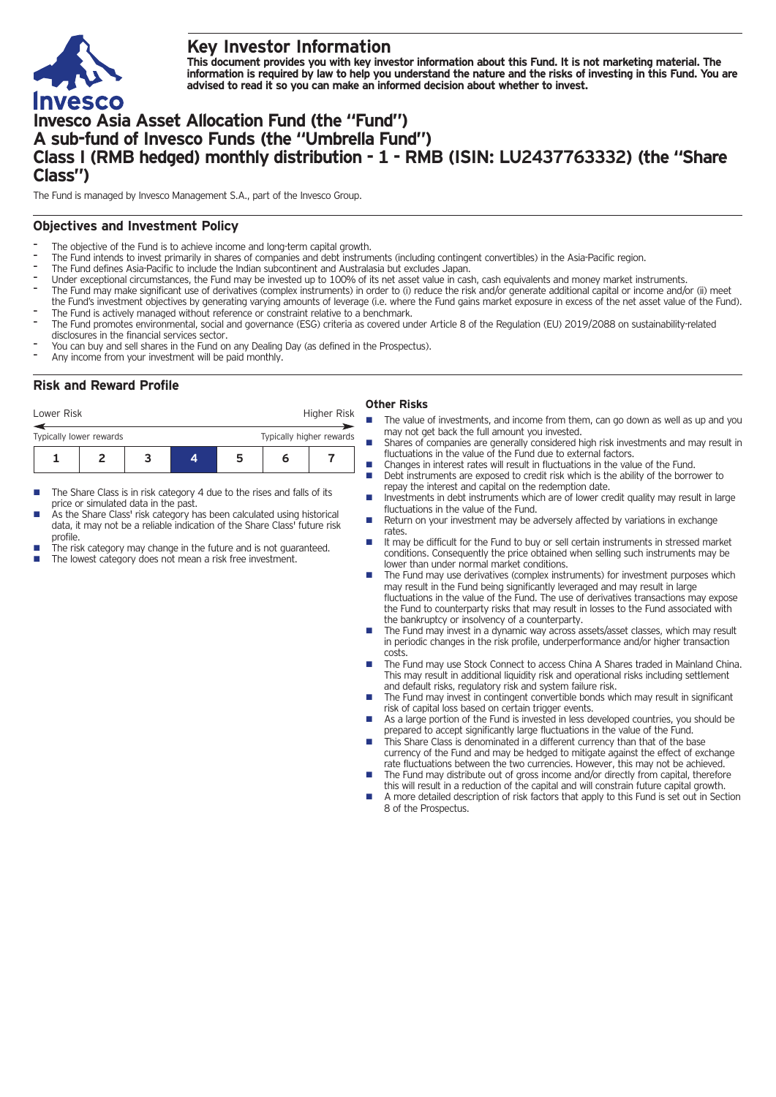

# **Key Investor Information**

This document provides you with key investor information about this Fund. It is not marketing material. The information is required by law to help you understand the nature and the risks of investing in this Fund. You are **advised to read it so you can make an informed decision about whether to invest.**

# **Invesco Asia Asset Allocation Fund (the "Fund") A sub-fund of Invesco Funds (the "Umbrella Fund") Class I (RMB hedged) monthly distribution - 1 - RMB (ISIN: LU2437763332) (the "Share Class")**

The Fund is managed by Invesco Management S.A., part of the Invesco Group.

## **Objectives and Investment Policy**

- The objective of the Fund is to achieve income and long-term capital growth.
- The Fund intends to invest primarily in shares of companies and debt instruments (including contingent convertibles) in the Asia-Pacific region.
- The Fund defines Asia-Pacific to include the Indian subcontinent and Australasia but excludes Japan.
- Under exceptional circumstances, the Fund may be invested up to 100% of its net asset value in cash, cash equivalents and money market instruments.
- The Fund may make significant use of derivatives (complex instruments) in order to (i) reduce the risk and/or generate additional capital or income and/or (ii) meet the Fund's investment objectives by generating varying amounts of leverage (i.e. where the Fund gains market exposure in excess of the net asset value of the Fund).
- The Fund is actively managed without reference or constraint relative to a benchmark.
- The Fund promotes environmental, social and governance (ESG) criteria as covered under Article 8 of the Regulation (EU) 2019/2088 on sustainability-related disclosures in the financial services sector.
- You can buy and sell shares in the Fund on any Dealing Day (as defined in the Prospectus).
- Any income from your investment will be paid monthly.

## **Risk and Reward Profile**

| Lower Risk              |  | Higher Risk |                          |  |  |  |
|-------------------------|--|-------------|--------------------------|--|--|--|
| Typically lower rewards |  |             | Typically higher rewards |  |  |  |
|                         |  | ◢           | h                        |  |  |  |

- The Share Class is in risk category 4 due to the rises and falls of its price or simulated data in the past.
- As the Share Class' risk category has been calculated using historical data, it may not be a reliable indication of the Share Class' future risk profile.
- The risk category may change in the future and is not guaranteed.
- The lowest category does not mean a risk free investment.

### **Other Risks**

- The value of investments, and income from them, can go down as well as up and you may not get back the full amount you invested.
	- Shares of companies are generally considered high risk investments and may result in fluctuations in the value of the Fund due to external factors.
- n Changes in interest rates will result in fluctuations in the value of the Fund. n Debt instruments are exposed to credit risk which is the ability of the borrower to repay the interest and capital on the redemption date.
- Investments in debt instruments which are of lower credit quality may result in large fluctuations in the value of the Fund.
- Return on your investment may be adversely affected by variations in exchange rates.
- It may be difficult for the Fund to buy or sell certain instruments in stressed market conditions. Consequently the price obtained when selling such instruments may be lower than under normal market conditions.
- The Fund may use derivatives (complex instruments) for investment purposes which may result in the Fund being significantly leveraged and may result in large fluctuations in the value of the Fund. The use of derivatives transactions may expose the Fund to counterparty risks that may result in losses to the Fund associated with the bankruptcy or insolvency of a counterparty.
- The Fund may invest in a dynamic way across assets/asset classes, which may result in periodic changes in the risk profile, underperformance and/or higher transaction costs.
- The Fund may use Stock Connect to access China A Shares traded in Mainland China. This may result in additional liquidity risk and operational risks including settlement and default risks, regulatory risk and system failure risk.
- The Fund may invest in contingent convertible bonds which may result in significant risk of capital loss based on certain trigger events.
- As a large portion of the Fund is invested in less developed countries, you should be prepared to accept significantly large fluctuations in the value of the Fund.
- This Share Class is denominated in a different currency than that of the base currency of the Fund and may be hedged to mitigate against the effect of exchange
- rate fluctuations between the two currencies. However, this may not be achieved. The Fund may distribute out of gross income and/or directly from capital, therefore
- this will result in a reduction of the capital and will constrain future capital growth. n A more detailed description of risk factors that apply to this Fund is set out in Section 8 of the Prospectus.